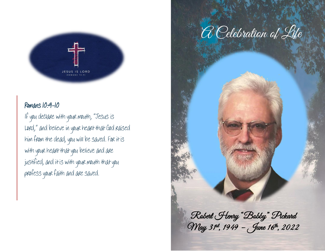

## Romans 10:9-10

If you declare with your mouth, "Jesus is Lord," and believe in your heart that God raised him from the dead, you will be saved. For it is with your heart that you believe and are justified, and it is with your mouth that you profess your faith and are saved.



 Robert Henry "Bobby" Pickard May 31st, 1949 – June 16th, 2022